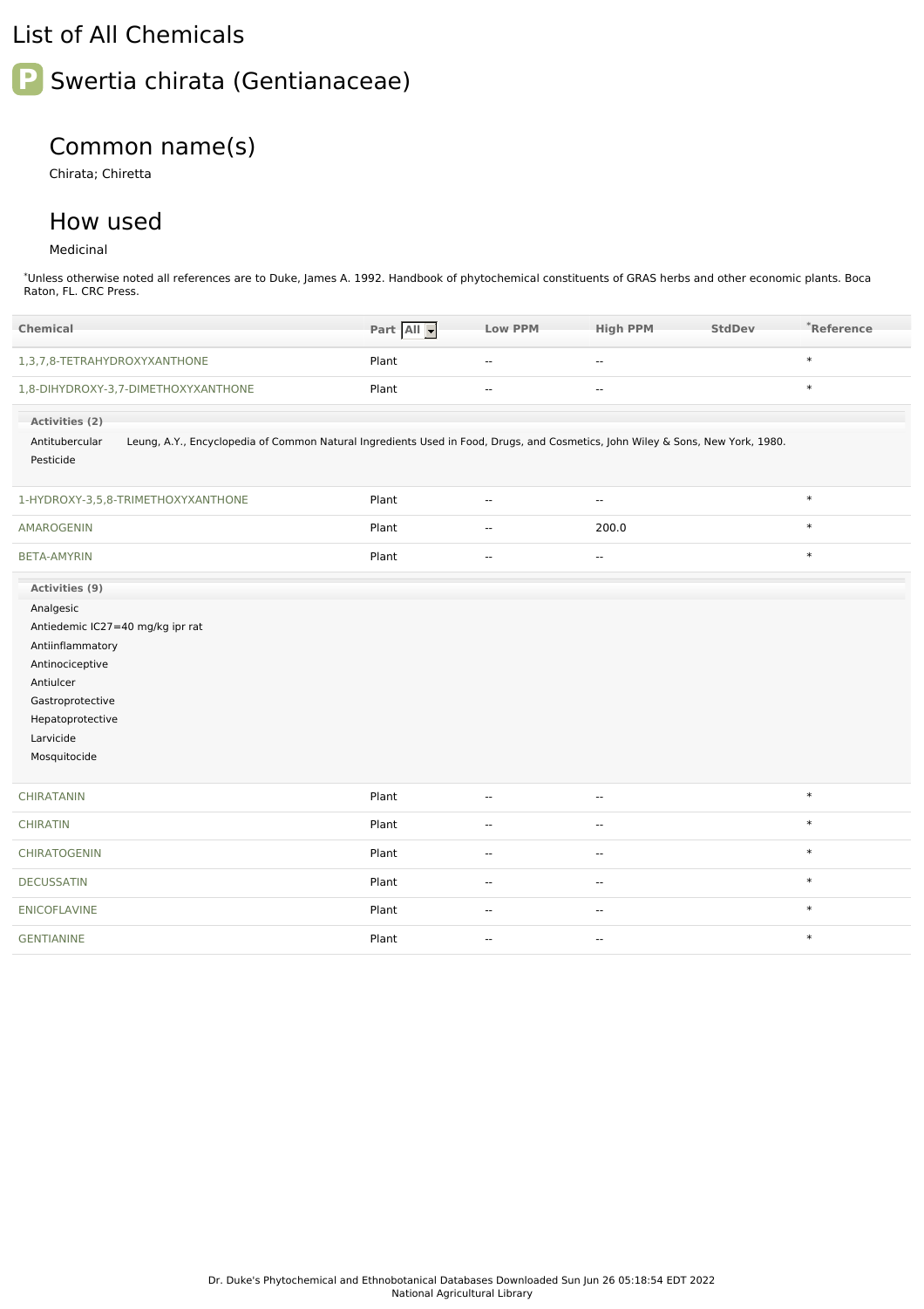## List of All Chemicals

# **P** Swertia chirata (Gentianaceae)

### Common name(s)

Chirata; Chiretta

#### How used

#### Medicinal

\*Unless otherwise noted all references are to Duke, James A. 1992. Handbook of phytochemical constituents of GRAS herbs and other economic plants. Boca Raton, FL. CRC Press.

| Chemical                                                                                                                                                      | Part All | <b>Low PPM</b>           | <b>High PPM</b>          | <b>StdDev</b> | *Reference |
|---------------------------------------------------------------------------------------------------------------------------------------------------------------|----------|--------------------------|--------------------------|---------------|------------|
| 1,3,7,8-TETRAHYDROXYXANTHONE                                                                                                                                  | Plant    | $\overline{a}$           | $\overline{a}$           |               | $\ast$     |
| 1,8-DIHYDROXY-3,7-DIMETHOXYXANTHONE                                                                                                                           | Plant    | $\mathbf{u}$             | $\overline{\phantom{a}}$ |               | $\ast$     |
| Activities (2)                                                                                                                                                |          |                          |                          |               |            |
| Leung, A.Y., Encyclopedia of Common Natural Ingredients Used in Food, Drugs, and Cosmetics, John Wiley & Sons, New York, 1980.<br>Antitubercular<br>Pesticide |          |                          |                          |               |            |
|                                                                                                                                                               |          |                          |                          |               |            |
| 1-HYDROXY-3,5,8-TRIMETHOXYXANTHONE                                                                                                                            | Plant    | $\overline{\phantom{a}}$ | $\overline{\phantom{a}}$ |               | $\ast$     |
| AMAROGENIN                                                                                                                                                    | Plant    | $\overline{\phantom{a}}$ | 200.0                    |               | $\ast$     |
| <b>BETA-AMYRIN</b>                                                                                                                                            | Plant    | $\overline{\phantom{a}}$ | ٠.                       |               | $\ast$     |
| Activities (9)                                                                                                                                                |          |                          |                          |               |            |
| Analgesic                                                                                                                                                     |          |                          |                          |               |            |
| Antiedemic IC27=40 mg/kg ipr rat                                                                                                                              |          |                          |                          |               |            |
| Antiinflammatory                                                                                                                                              |          |                          |                          |               |            |
| Antinociceptive<br>Antiulcer                                                                                                                                  |          |                          |                          |               |            |
| Gastroprotective                                                                                                                                              |          |                          |                          |               |            |
| Hepatoprotective                                                                                                                                              |          |                          |                          |               |            |
| Larvicide                                                                                                                                                     |          |                          |                          |               |            |
| Mosquitocide                                                                                                                                                  |          |                          |                          |               |            |
|                                                                                                                                                               |          |                          |                          |               |            |
| <b>CHIRATANIN</b>                                                                                                                                             | Plant    | $\overline{\phantom{a}}$ | $\overline{\phantom{a}}$ |               | $\ast$     |
| <b>CHIRATIN</b>                                                                                                                                               | Plant    | $\overline{\phantom{a}}$ | --                       |               | $\ast$     |
| CHIRATOGENIN                                                                                                                                                  | Plant    | $\overline{\phantom{a}}$ | --                       |               | $\ast$     |
| <b>DECUSSATIN</b>                                                                                                                                             | Plant    | $\overline{\phantom{a}}$ | $\overline{\phantom{a}}$ |               | $\ast$     |
| <b>ENICOFLAVINE</b>                                                                                                                                           | Plant    | $\sim$ $\sim$            | $\overline{\phantom{a}}$ |               | $\ast$     |
| <b>GENTIANINE</b>                                                                                                                                             | Plant    | $\overline{\phantom{a}}$ | $\overline{\phantom{a}}$ |               | $\ast$     |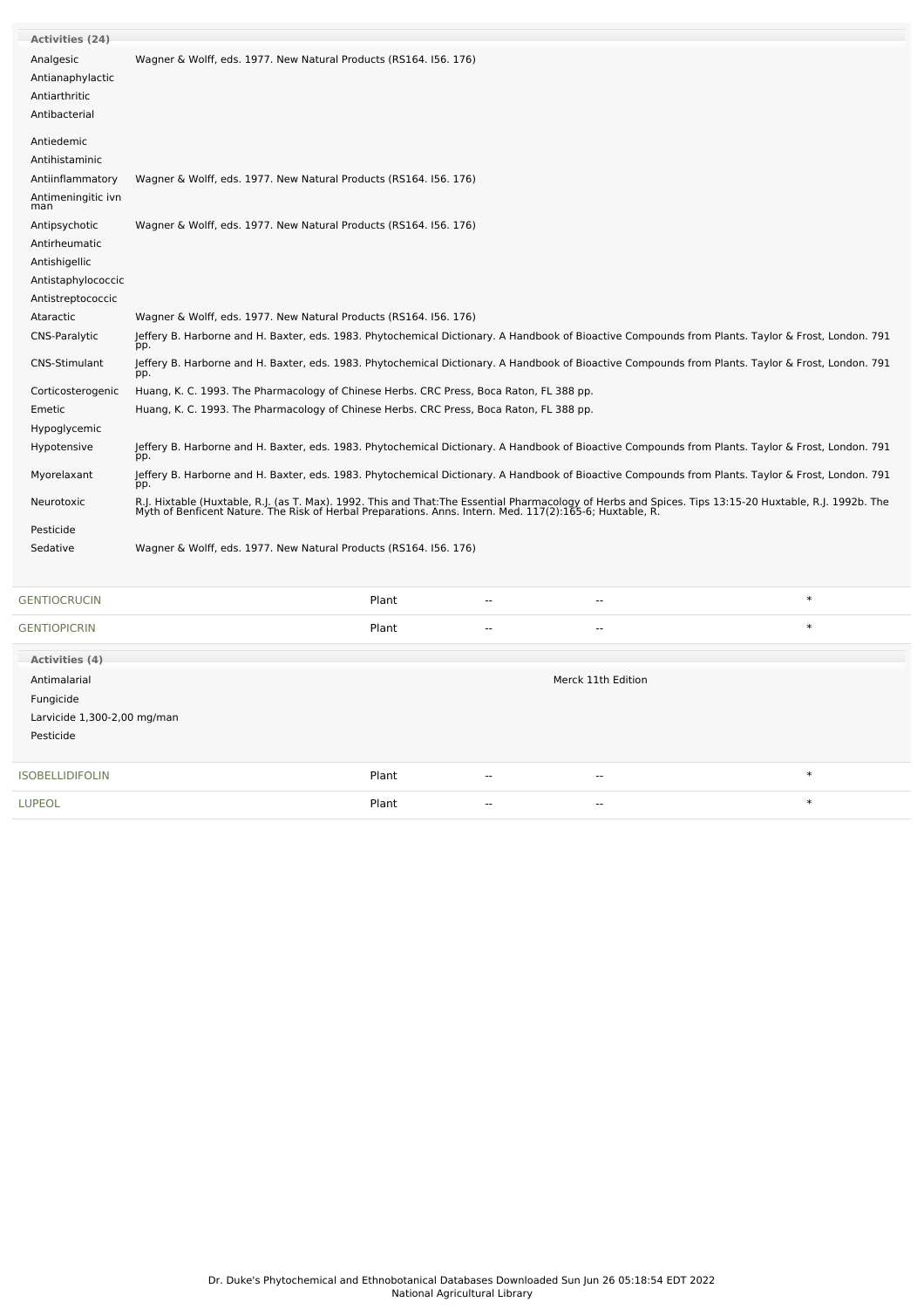| <b>Activities (24)</b>    |                                                                                                                                                                                                                                   |
|---------------------------|-----------------------------------------------------------------------------------------------------------------------------------------------------------------------------------------------------------------------------------|
| Analgesic                 | Wagner & Wolff, eds. 1977. New Natural Products (RS164. 156. 176)                                                                                                                                                                 |
| Antianaphylactic          |                                                                                                                                                                                                                                   |
| Antiarthritic             |                                                                                                                                                                                                                                   |
| Antibacterial             |                                                                                                                                                                                                                                   |
| Antiedemic                |                                                                                                                                                                                                                                   |
| Antihistaminic            |                                                                                                                                                                                                                                   |
| Antiinflammatory          | Wagner & Wolff, eds. 1977. New Natural Products (RS164. 156. 176)                                                                                                                                                                 |
| Antimeningitic ivn<br>man |                                                                                                                                                                                                                                   |
| Antipsychotic             | Wagner & Wolff, eds. 1977. New Natural Products (RS164. 156. 176)                                                                                                                                                                 |
| Antirheumatic             |                                                                                                                                                                                                                                   |
| Antishigellic             |                                                                                                                                                                                                                                   |
| Antistaphylococcic        |                                                                                                                                                                                                                                   |
| Antistreptococcic         |                                                                                                                                                                                                                                   |
| Ataractic                 | Wagner & Wolff, eds. 1977. New Natural Products (RS164. 156. 176)                                                                                                                                                                 |
| CNS-Paralytic             | Jeffery B. Harborne and H. Baxter, eds. 1983. Phytochemical Dictionary. A Handbook of Bioactive Compounds from Plants. Taylor & Frost, London. 791<br>pp.                                                                         |
| <b>CNS-Stimulant</b>      | Jeffery B. Harborne and H. Baxter, eds. 1983. Phytochemical Dictionary. A Handbook of Bioactive Compounds from Plants. Taylor & Frost, London. 791<br>pp.                                                                         |
| Corticosterogenic         | Huang, K. C. 1993. The Pharmacology of Chinese Herbs. CRC Press, Boca Raton, FL 388 pp.                                                                                                                                           |
| Emetic                    | Huang, K. C. 1993. The Pharmacology of Chinese Herbs. CRC Press, Boca Raton, FL 388 pp.                                                                                                                                           |
| Hypoglycemic              |                                                                                                                                                                                                                                   |
| Hypotensive               | Jeffery B. Harborne and H. Baxter, eds. 1983. Phytochemical Dictionary. A Handbook of Bioactive Compounds from Plants. Taylor & Frost, London. 791<br>pp.                                                                         |
| Myorelaxant               | Jeffery B. Harborne and H. Baxter, eds. 1983. Phytochemical Dictionary. A Handbook of Bioactive Compounds from Plants. Taylor & Frost, London. 791<br>pp.                                                                         |
| Neurotoxic                | R.J. Hixtable (Huxtable, R.J. (as T. Max). 1992. This and That:The Essential Pharmacology of Herbs and Spices. Tips 13:15-20 Huxtable, R.J. 1992b. The<br>Myth of Benficent Nature. The Risk of Herbal Preparations. Anns. Intern |
| Pesticide                 |                                                                                                                                                                                                                                   |
| Sedative                  | Wagner & Wolff, eds. 1977. New Natural Products (RS164. 156. 176)                                                                                                                                                                 |
| <b>GENTIOCRUCIN</b>       | $\ast$<br>Plant                                                                                                                                                                                                                   |
| <b>GENTIOPICRIN</b>       | $\ast$<br>Plant<br>$\overline{a}$                                                                                                                                                                                                 |
| Activities (4)            |                                                                                                                                                                                                                                   |
| Antimalarial              | Merck 11th Edition                                                                                                                                                                                                                |
| Fungicide                 |                                                                                                                                                                                                                                   |

| Larvicide 1,300-2,00 mg/man<br>Pesticide |       |                          |       |        |
|------------------------------------------|-------|--------------------------|-------|--------|
| <b>ISOBELLIDIFOLIN</b>                   | Plant | $- -$                    | --    | ∗      |
| <b>LUPEOL</b>                            | Plant | $\overline{\phantom{a}}$ | $- -$ | $\ast$ |
|                                          |       |                          |       |        |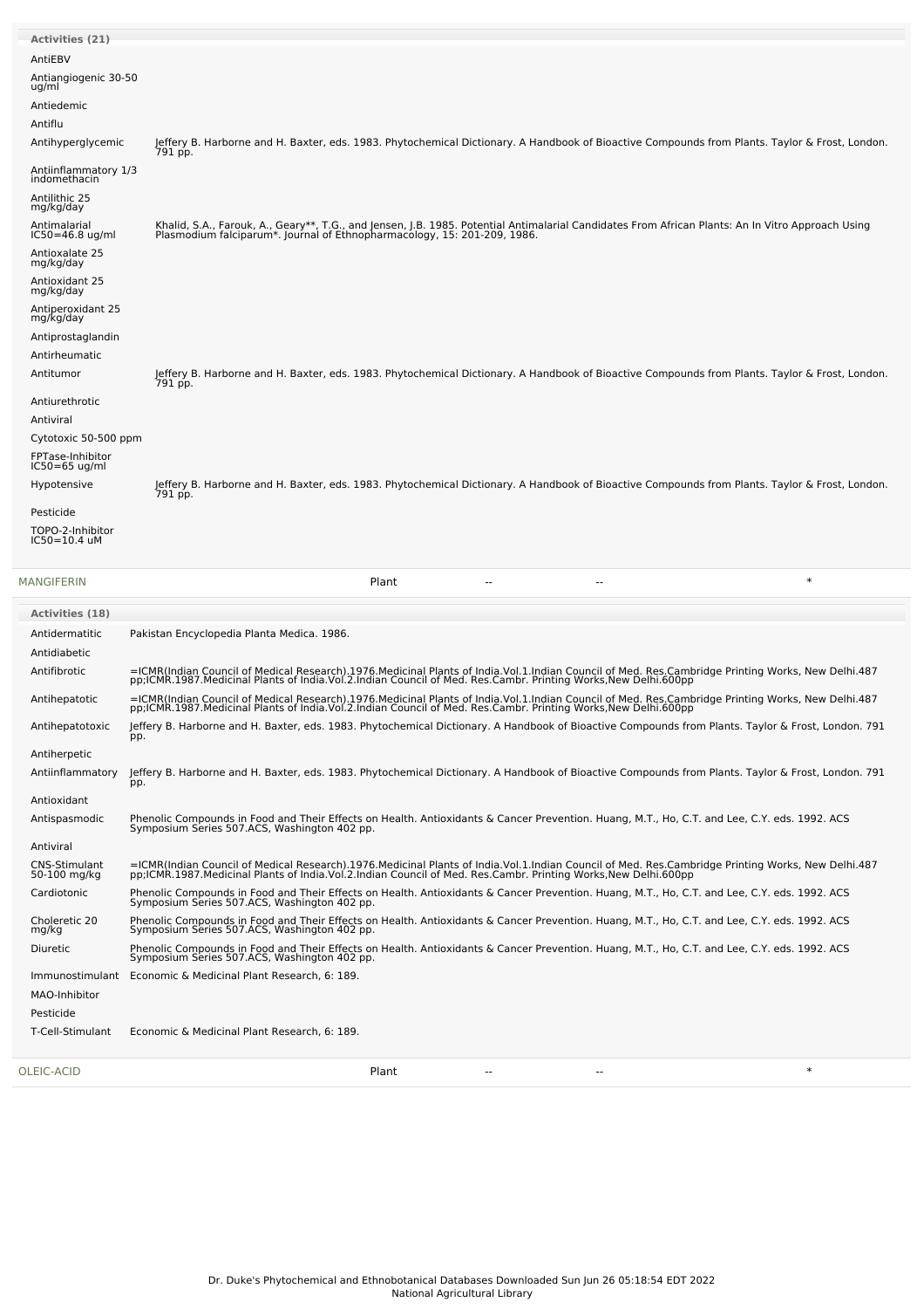| <b>Activities (21)</b>               |                                                                                                                                                                                                                                                                    |
|--------------------------------------|--------------------------------------------------------------------------------------------------------------------------------------------------------------------------------------------------------------------------------------------------------------------|
| AntiEBV                              |                                                                                                                                                                                                                                                                    |
| Antiangiogenic 30-50<br>ug/ml        |                                                                                                                                                                                                                                                                    |
| Antiedemic                           |                                                                                                                                                                                                                                                                    |
| Antiflu                              |                                                                                                                                                                                                                                                                    |
| Antihyperglycemic                    | Jeffery B. Harborne and H. Baxter, eds. 1983. Phytochemical Dictionary. A Handbook of Bioactive Compounds from Plants. Taylor & Frost, London.<br>791 pp.                                                                                                          |
| Antiinflammatory 1/3<br>indomethacin |                                                                                                                                                                                                                                                                    |
| Antilithic 25<br>mg/kg/day           |                                                                                                                                                                                                                                                                    |
| Antimalarial<br>$IC50 = 46.8$ ug/ml  | Khalid, S.A., Farouk, A., Geary**, T.G., and Jensen, J.B. 1985. Potential Antimalarial Candidates From African Plants: An In Vitro Approach Using<br>Plasmodium falciparum*. Journal of Ethnopharmacology, 15: 201-209, 1986.                                      |
| Antioxalate 25<br>mg/kg/day          |                                                                                                                                                                                                                                                                    |
| Antioxidant 25<br>mg/kg/day          |                                                                                                                                                                                                                                                                    |
| Antiperoxidant 25<br>mg/kg/day       |                                                                                                                                                                                                                                                                    |
| Antiprostaglandin                    |                                                                                                                                                                                                                                                                    |
| Antirheumatic                        |                                                                                                                                                                                                                                                                    |
| Antitumor                            | Jeffery B. Harborne and H. Baxter, eds. 1983. Phytochemical Dictionary. A Handbook of Bioactive Compounds from Plants. Taylor & Frost, London.<br>791 pp.                                                                                                          |
| Antiurethrotic                       |                                                                                                                                                                                                                                                                    |
| Antiviral                            |                                                                                                                                                                                                                                                                    |
| Cytotoxic 50-500 ppm                 |                                                                                                                                                                                                                                                                    |
| FPTase-Inhibitor<br>$IC50=65$ ug/ml  |                                                                                                                                                                                                                                                                    |
| Hypotensive                          | Jeffery B. Harborne and H. Baxter, eds. 1983. Phytochemical Dictionary. A Handbook of Bioactive Compounds from Plants. Taylor & Frost, London.<br>791 pp.                                                                                                          |
| Pesticide                            |                                                                                                                                                                                                                                                                    |
| TOPO-2-Inhibitor<br>IC50=10.4 uM     |                                                                                                                                                                                                                                                                    |
| MANGIFERIN                           | $\ast$<br>Plant<br>$\sim$<br>$\overline{a}$                                                                                                                                                                                                                        |
| <b>Activities (18)</b>               |                                                                                                                                                                                                                                                                    |
| Antidermatitic                       | Pakistan Encyclopedia Planta Medica. 1986.                                                                                                                                                                                                                         |
| Antidiabetic                         |                                                                                                                                                                                                                                                                    |
| Antifibrotic                         | =ICMR(Indian Council of Medical Research).1976.Medicinal Plants of India.Vol.1.Indian Council of Med. Res.Cambridge Printing Works, New Delhi.487<br>pp;ICMR.1987.Medicinal Plants of India.Vol.2.Indian Council of Med. Res.Camb                                  |
| Antihepatotic                        | =ICMR(Indian Council of Medical Research).1976.Medicinal Plants of India.Vol.1.Indian Council of Med. Res.Cambridge Printing Works, New Delhi.487<br>pp;ICMR.1987.Medicinal Plants of India.Vol.2.Indian Council of Med. Res.Cambr. Printing Works,New Delhi.600pp |

Antihepatotoxic Jeffery B. Harborne and H. Baxter, eds. 1983. Phytochemical Dictionary. A Handbook of Bioactive Compounds from Plants. Taylor & Frost, London. 791 pp. Antiherpetic

Antiinflammatory Jeffery B. Harborne and H. Baxter, eds. 1983. Phytochemical Dictionary. A Handbook of Bioactive Compounds from Plants. Taylor & Frost, London. 791  $\overline{p}$ Antioxidant

Antispasmodic Phenolic Compounds in Food and Their Effects on Health. Antioxidants & Cancer Prevention. Huang, M.T., Ho, C.T. and Lee, C.Y. eds. 1992. ACS Symposium Series 507.ACS, Washington 402 pp. Antiviral

Cardiotonic Phenolic Compounds in Food and Their Effects on Health. Antioxidants & Cancer Prevention. Huang, M.T., Ho, C.T. and Lee, C.Y. eds. 1992. ACS Symposium Series 507.ACS, Washington 402 pp.

Diuretic Phenolic Compounds in Food and Their Effects on Health. Antioxidants & Cancer Prevention. Huang, M.T., Ho, C.T. and Lee, C.Y. eds. 1992. ACS Symposium Series 507.ACS, Washington 402 pp.

=ICMR(Indian Council of Medical Research).1976.Medicinal Plants of India.Vol.1.Indian Council of Med. Res.Cambridge Printing Works, New Delhi.487<br>pp;ICMR.1987.Medicinal Plants of India.Vol.2.Indian Council of Med. Res.Camb

Phenolic Compounds in Food and Their Effects on Health. Antioxidants & Cancer Prevention. Huang, M.T., Ho, C.T. and Lee, C.Y. eds. 1992. ACS Symposium Series 507.ACS, Washington 402 pp.

[OLEIC-ACID](file:///phytochem/chemicals/show/13660) Plant -- -- \*

CNS-Stimulant 50-100 mg/kg

Choleretic <sup>20</sup> mg/kg

MAO-Inhibitor Pesticide

Immunostimulant Economic & Medicinal Plant Research, 6: 189.

T-Cell-Stimulant Economic & Medicinal Plant Research, 6: 189.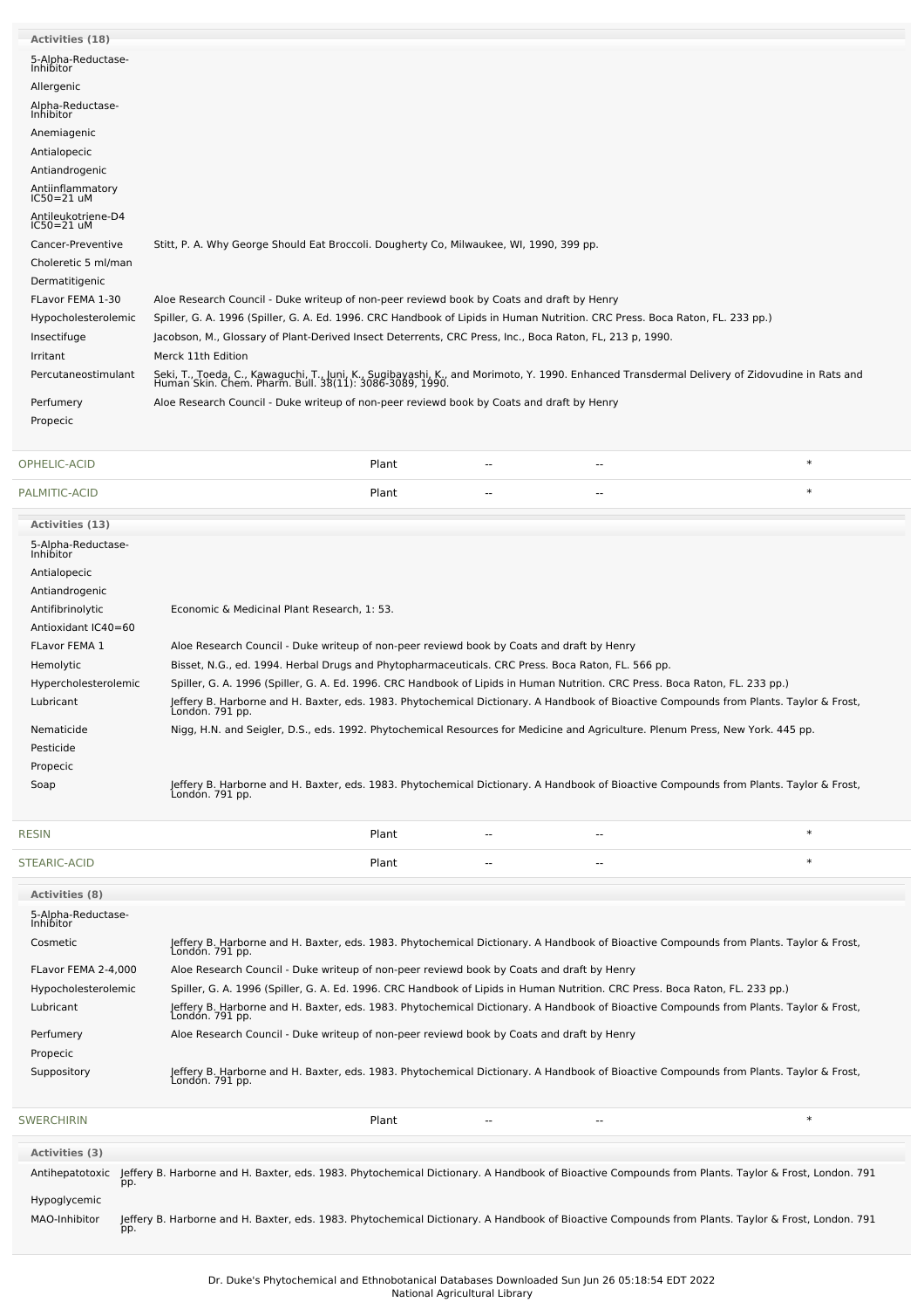| <b>Activities (18)</b>                 |                                                                                                                                                                                                          |
|----------------------------------------|----------------------------------------------------------------------------------------------------------------------------------------------------------------------------------------------------------|
| 5-Alpha-Reductase-<br><b>Inhibitor</b> |                                                                                                                                                                                                          |
| Allergenic                             |                                                                                                                                                                                                          |
| Alpha-Reductase-<br>Inhibitor          |                                                                                                                                                                                                          |
| Anemiagenic                            |                                                                                                                                                                                                          |
| Antialopecic                           |                                                                                                                                                                                                          |
| Antiandrogenic                         |                                                                                                                                                                                                          |
| Antiinflammatory<br>$IC50 = 21$ uM     |                                                                                                                                                                                                          |
| Antileukotriene-D4<br>$IC50 = 21$ uM   |                                                                                                                                                                                                          |
| Cancer-Preventive                      | Stitt, P. A. Why George Should Eat Broccoli. Dougherty Co, Milwaukee, WI, 1990, 399 pp.                                                                                                                  |
| Choleretic 5 ml/man                    |                                                                                                                                                                                                          |
| Dermatitigenic                         |                                                                                                                                                                                                          |
| FLavor FEMA 1-30                       | Aloe Research Council - Duke writeup of non-peer reviewd book by Coats and draft by Henry                                                                                                                |
| Hypocholesterolemic                    | Spiller, G. A. 1996 (Spiller, G. A. Ed. 1996. CRC Handbook of Lipids in Human Nutrition. CRC Press. Boca Raton, FL. 233 pp.)                                                                             |
| Insectifuge                            | Jacobson, M., Glossary of Plant-Derived Insect Deterrents, CRC Press, Inc., Boca Raton, FL, 213 p, 1990.                                                                                                 |
| Irritant                               | Merck 11th Edition                                                                                                                                                                                       |
| Percutaneostimulant                    | Seki, T., Toeda, C., Kawaguchi, T., Juni, K., Sugibayashi, K., and Morimoto, Y. 1990. Enhanced Transdermal Delivery of Zidovudine in Rats and<br>Human Skin. Chem. Pharm. Bull. 38(11): 3086-3089, 1990. |
| Perfumery                              | Aloe Research Council - Duke writeup of non-peer reviewd book by Coats and draft by Henry                                                                                                                |
| Propecic                               |                                                                                                                                                                                                          |
|                                        |                                                                                                                                                                                                          |

| OPHE<br>$\sim$ 1<br>the contract of the contract of the contract of the contract of the contract of the contract of the contract of | Plant | $- -$ | $- -$ |  |
|-------------------------------------------------------------------------------------------------------------------------------------|-------|-------|-------|--|
|                                                                                                                                     |       |       |       |  |

| PALMITIC-ACID                   | Plant                                                                                                                                                     | $\ast$ |
|---------------------------------|-----------------------------------------------------------------------------------------------------------------------------------------------------------|--------|
| <b>Activities (13)</b>          |                                                                                                                                                           |        |
| 5-Alpha-Reductase-<br>Inhibitor |                                                                                                                                                           |        |
| Antialopecic                    |                                                                                                                                                           |        |
| Antiandrogenic                  |                                                                                                                                                           |        |
| Antifibrinolytic                | Economic & Medicinal Plant Research, 1: 53.                                                                                                               |        |
| Antioxidant IC40=60             |                                                                                                                                                           |        |
| FLavor FEMA 1                   | Aloe Research Council - Duke writeup of non-peer reviewd book by Coats and draft by Henry                                                                 |        |
| Hemolytic                       | Bisset, N.G., ed. 1994. Herbal Drugs and Phytopharmaceuticals. CRC Press. Boca Raton, FL. 566 pp.                                                         |        |
| Hypercholesterolemic            | Spiller, G. A. 1996 (Spiller, G. A. Ed. 1996. CRC Handbook of Lipids in Human Nutrition. CRC Press. Boca Raton, FL. 233 pp.)                              |        |
| Lubricant                       | Jeffery B. Harborne and H. Baxter, eds. 1983. Phytochemical Dictionary. A Handbook of Bioactive Compounds from Plants. Taylor & Frost,<br>London. 791 pp. |        |
| Nematicide                      | Nigg, H.N. and Seigler, D.S., eds. 1992. Phytochemical Resources for Medicine and Agriculture. Plenum Press, New York. 445 pp.                            |        |
| Pesticide                       |                                                                                                                                                           |        |
| Propecic                        |                                                                                                                                                           |        |
| Soap                            | Jeffery B. Harborne and H. Baxter, eds. 1983. Phytochemical Dictionary. A Handbook of Bioactive Compounds from Plants. Taylor & Frost,<br>Londón. 791 pp. |        |

| <b>RESIN</b> | Plant | $\sim$ | $\hspace{0.1mm}-\hspace{0.1mm}-\hspace{0.1mm}$ |  |
|--------------|-------|--------|------------------------------------------------|--|
| STEARIC-ACID | Plant | $\sim$ | $\hspace{0.1mm}-\hspace{0.1mm}-\hspace{0.1mm}$ |  |

| <b>Activities (8)</b>                  |                                                                                                                                                           |
|----------------------------------------|-----------------------------------------------------------------------------------------------------------------------------------------------------------|
| 5-Alpha-Reductase-<br><b>Inhibitor</b> |                                                                                                                                                           |
| Cosmetic                               | Jeffery B. Harborne and H. Baxter, eds. 1983. Phytochemical Dictionary. A Handbook of Bioactive Compounds from Plants. Taylor & Frost,<br>Londón. 791 pp. |
| FLavor FEMA 2-4.000                    | Aloe Research Council - Duke writeup of non-peer reviewd book by Coats and draft by Henry                                                                 |
| Hypocholesterolemic                    | Spiller, G. A. 1996 (Spiller, G. A. Ed. 1996. CRC Handbook of Lipids in Human Nutrition. CRC Press. Boca Raton, FL. 233 pp.)                              |
| Lubricant                              | Jeffery B. Harborne and H. Baxter, eds. 1983. Phytochemical Dictionary. A Handbook of Bioactive Compounds from Plants. Taylor & Frost,<br>Londón. 791 pp. |
| Perfumery                              | Aloe Research Council - Duke writeup of non-peer reviewd book by Coats and draft by Henry                                                                 |
| Propecic                               |                                                                                                                                                           |
| Suppository                            | Jeffery B. Harborne and H. Baxter, eds. 1983. Phytochemical Dictionary. A Handbook of Bioactive Compounds from Plants. Taylor & Frost,<br>Londón. 791 pp. |
|                                        |                                                                                                                                                           |

[SWERCHIRIN](file:///phytochem/chemicals/show/16722) Plant -- -- \* **Activities (3)** Antihepatotoxic Jeffery B. Harborne and H. Baxter, eds. 1983. Phytochemical Dictionary. A Handbook of Bioactive Compounds from Plants. Taylor & Frost, London. 791 pp. Hypoglycemic MAO-Inhibitor Jeffery B. Harborne and H. Baxter, eds. 1983. Phytochemical Dictionary. A Handbook of Bioactive Compounds from Plants. Taylor & Frost, London. 791 pp.